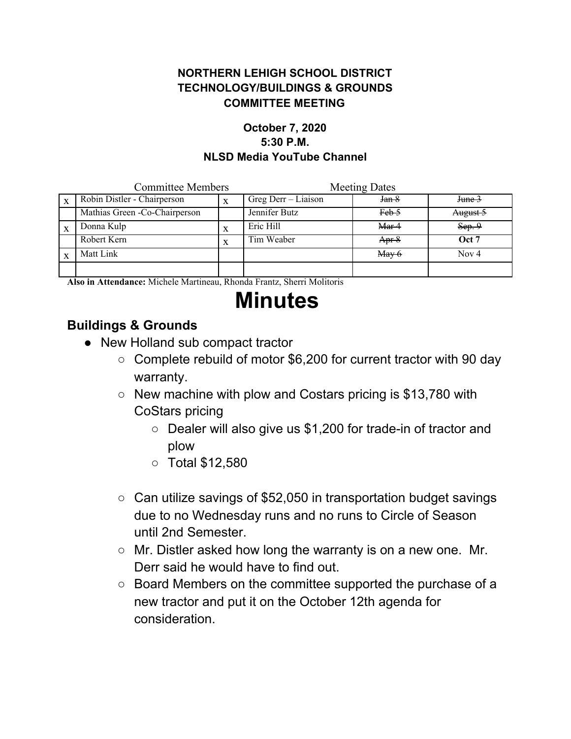### **NORTHERN LEHIGH SCHOOL DISTRICT TECHNOLOGY/BUILDINGS & GROUNDS COMMITTEE MEETING**

#### **October 7, 2020 5:30 P.M. NLSD Media YouTube Channel**

| <b>Committee Members</b> |                                | <b>Meeting Dates</b> |                     |                 |          |
|--------------------------|--------------------------------|----------------------|---------------------|-----------------|----------|
|                          | Robin Distler - Chairperson    | X                    | Greg Derr - Liaison | Jan 8           | June 3   |
|                          | Mathias Green - Co-Chairperson |                      | Jennifer Butz       | Feb 5           | August 5 |
|                          | Donna Kulp                     | X                    | Eric Hill           | Mar 4           | Sep.9    |
|                          | Robert Kern                    | X                    | Tim Weaber          | Apr 8           | Oct 7    |
|                          | Matt Link                      |                      |                     | $\text{May } 6$ | Nov 4    |
|                          |                                |                      |                     |                 |          |

**Also in Attendance:** Michele Martineau, Rhonda Frantz, Sherri Molitoris

# **Minutes**

## **Buildings & Grounds**

- New Holland sub compact tractor
	- Complete rebuild of motor \$6,200 for current tractor with 90 day warranty.
	- New machine with plow and Costars pricing is \$13,780 with CoStars pricing
		- Dealer will also give us \$1,200 for trade-in of tractor and plow
		- Total \$12,580
	- $\circ$  Can utilize savings of \$52,050 in transportation budget savings due to no Wednesday runs and no runs to Circle of Season until 2nd Semester.
	- Mr. Distler asked how long the warranty is on a new one. Mr. Derr said he would have to find out.
	- Board Members on the committee supported the purchase of a new tractor and put it on the October 12th agenda for consideration.